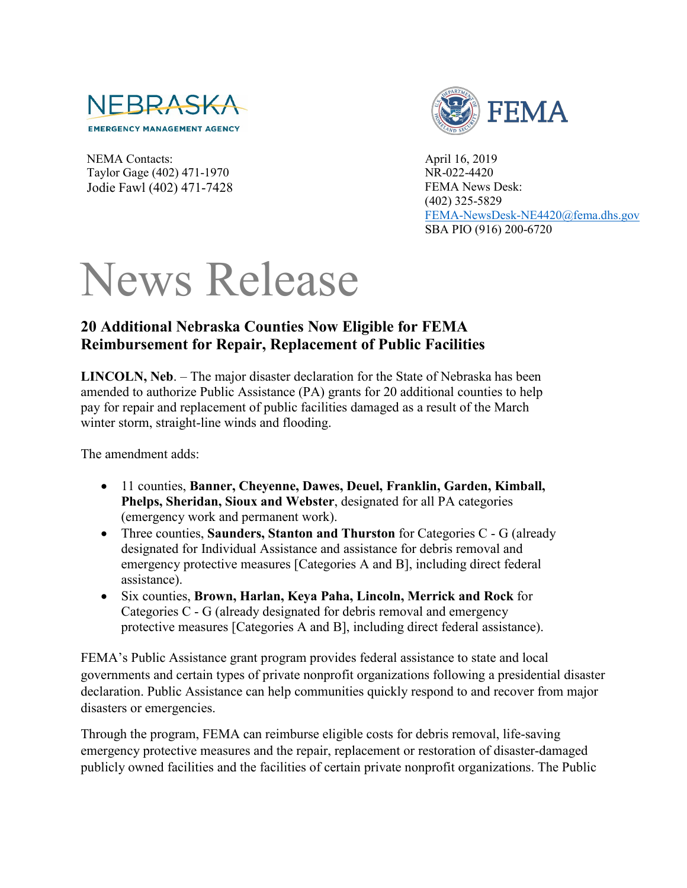

NEMA Contacts: Taylor Gage (402) 471-1970 Jodie Fawl (402) 471-7428



April 16, 2019 NR-022-4420 FEMA News Desk: (402) 325-5829 [FEMA-NewsDesk-NE4420@fema.dhs.gov](mailto:FEMA-NewsDesk-NE4420@fema.dhs.gov) SBA PIO (916) 200-6720

## News Release

## **20 Additional Nebraska Counties Now Eligible for FEMA Reimbursement for Repair, Replacement of Public Facilities**

**LINCOLN, Neb**. – The major disaster declaration for the State of Nebraska has been amended to authorize Public Assistance (PA) grants for 20 additional counties to help pay for repair and replacement of public facilities damaged as a result of the March winter storm, straight-line winds and flooding.

The amendment adds:

- 11 counties, **Banner, Cheyenne, Dawes, Deuel, Franklin, Garden, Kimball, Phelps, Sheridan, Sioux and Webster**, designated for all PA categories (emergency work and permanent work).
- Three counties, **Saunders, Stanton and Thurston** for Categories C G (already designated for Individual Assistance and assistance for debris removal and emergency protective measures [Categories A and B], including direct federal assistance).
- Six counties, **Brown, Harlan, Keya Paha, Lincoln, Merrick and Rock** for Categories C - G (already designated for debris removal and emergency protective measures [Categories A and B], including direct federal assistance).

FEMA's Public Assistance grant program provides federal assistance to state and local governments and certain types of private nonprofit organizations following a presidential disaster declaration. Public Assistance can help communities quickly respond to and recover from major disasters or emergencies.

Through the program, FEMA can reimburse eligible costs for debris removal, life-saving emergency protective measures and the repair, replacement or restoration of disaster-damaged publicly owned facilities and the facilities of certain private nonprofit organizations. The Public